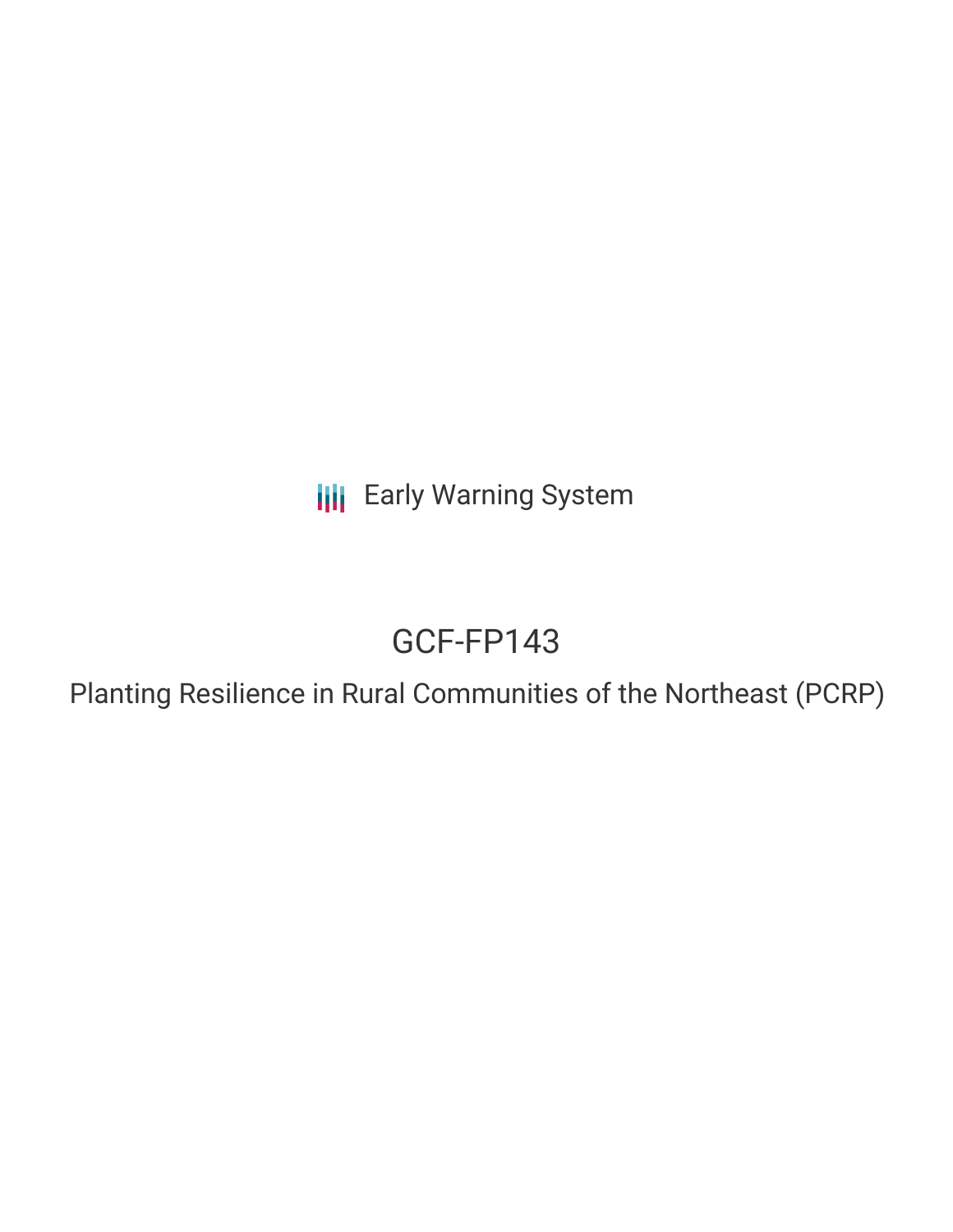**III** Early Warning System

# GCF-FP143

Planting Resilience in Rural Communities of the Northeast (PCRP)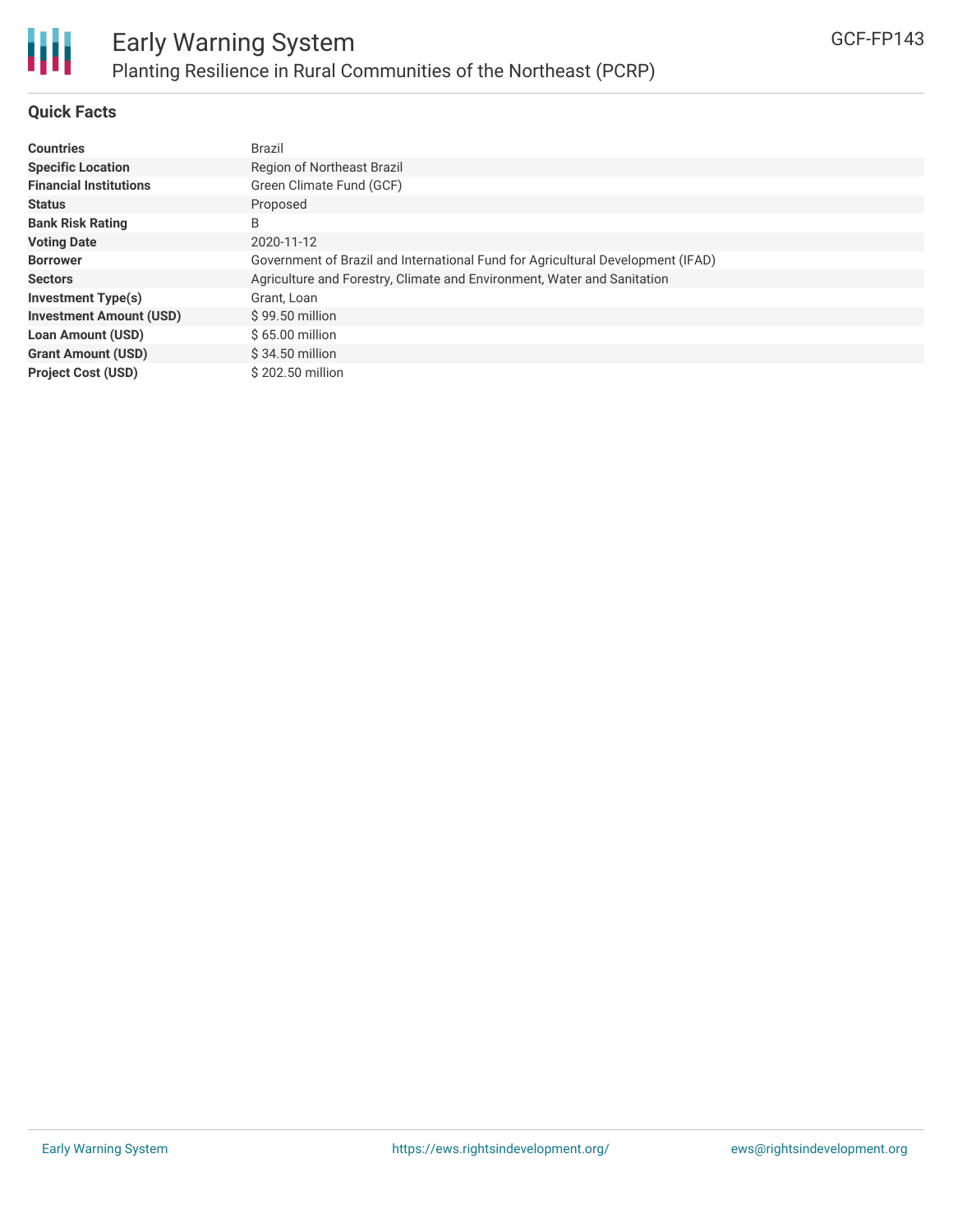

### **Quick Facts**

| <b>Countries</b>               | Brazil                                                                          |
|--------------------------------|---------------------------------------------------------------------------------|
| <b>Specific Location</b>       | Region of Northeast Brazil                                                      |
| <b>Financial Institutions</b>  | Green Climate Fund (GCF)                                                        |
| <b>Status</b>                  | Proposed                                                                        |
| <b>Bank Risk Rating</b>        | B                                                                               |
| <b>Voting Date</b>             | 2020-11-12                                                                      |
| <b>Borrower</b>                | Government of Brazil and International Fund for Agricultural Development (IFAD) |
| <b>Sectors</b>                 | Agriculture and Forestry, Climate and Environment, Water and Sanitation         |
| <b>Investment Type(s)</b>      | Grant, Loan                                                                     |
| <b>Investment Amount (USD)</b> | $$99.50$ million                                                                |
| <b>Loan Amount (USD)</b>       | $$65.00$ million                                                                |
| <b>Grant Amount (USD)</b>      | $$34.50$ million                                                                |
| <b>Project Cost (USD)</b>      | \$202.50 million                                                                |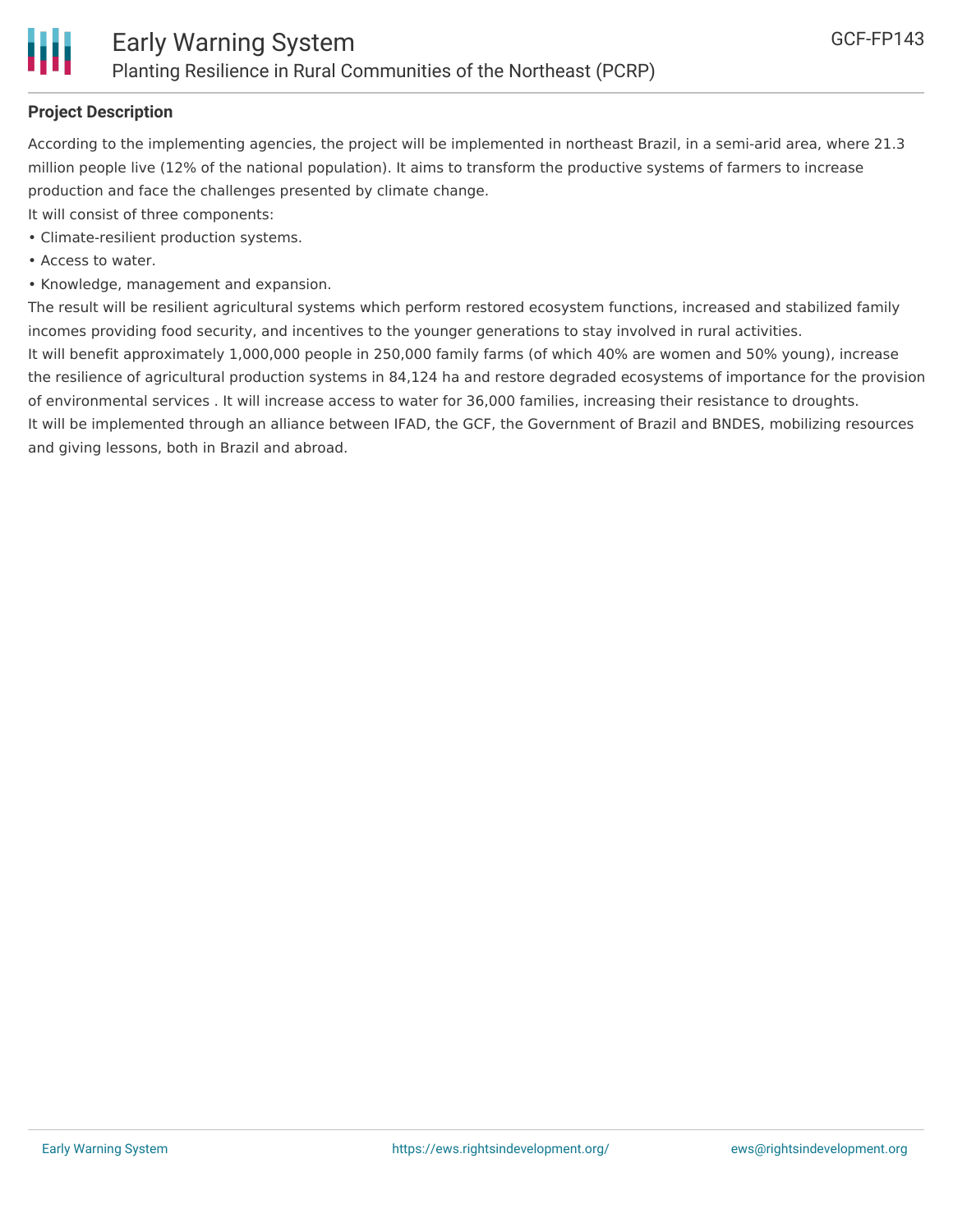

## **Project Description**

According to the implementing agencies, the project will be implemented in northeast Brazil, in a semi-arid area, where 21.3 million people live (12% of the national population). It aims to transform the productive systems of farmers to increase production and face the challenges presented by climate change.

It will consist of three components:

- Climate-resilient production systems.
- Access to water.
- Knowledge, management and expansion.

The result will be resilient agricultural systems which perform restored ecosystem functions, increased and stabilized family incomes providing food security, and incentives to the younger generations to stay involved in rural activities. It will benefit approximately 1,000,000 people in 250,000 family farms (of which 40% are women and 50% young), increase the resilience of agricultural production systems in 84,124 ha and restore degraded ecosystems of importance for the provision of environmental services . It will increase access to water for 36,000 families, increasing their resistance to droughts. It will be implemented through an alliance between IFAD, the GCF, the Government of Brazil and BNDES, mobilizing resources and giving lessons, both in Brazil and abroad.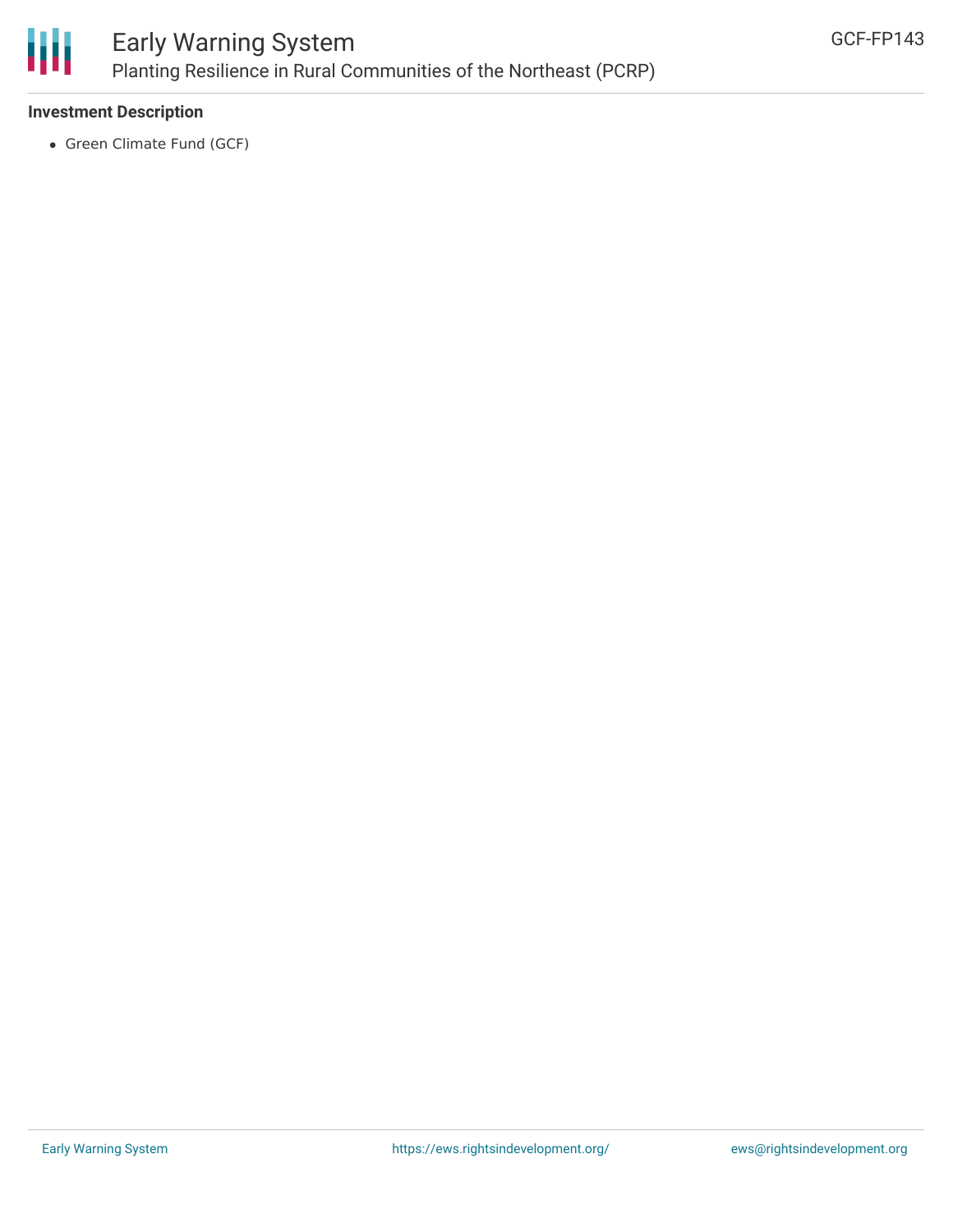

# Early Warning System Planting Resilience in Rural Communities of the Northeast (PCRP)

## **Investment Description**

• Green Climate Fund (GCF)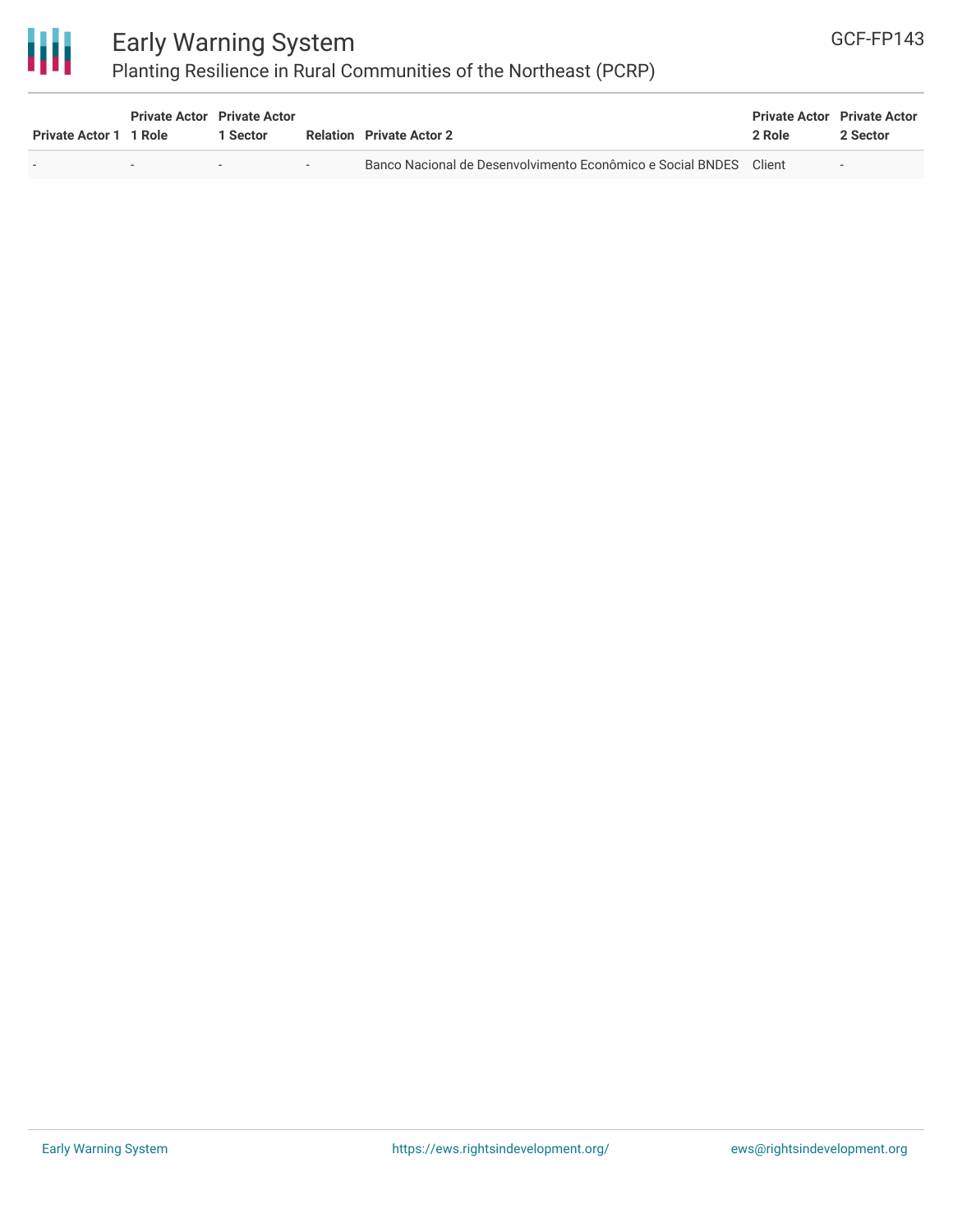

# Early Warning System

# Planting Resilience in Rural Communities of the Northeast (PCRP)

| <b>Private Actor 1 1 Role</b> | <b>Private Actor</b> Private Actor | l Sector | <b>Relation</b> Private Actor 2                                   | <b>Private Actor Private Actor</b><br>2 Role | 2 Sector                 |
|-------------------------------|------------------------------------|----------|-------------------------------------------------------------------|----------------------------------------------|--------------------------|
|                               |                                    | $\sim$   | Banco Nacional de Desenvolvimento Econômico e Social BNDES Client |                                              | $\overline{\phantom{a}}$ |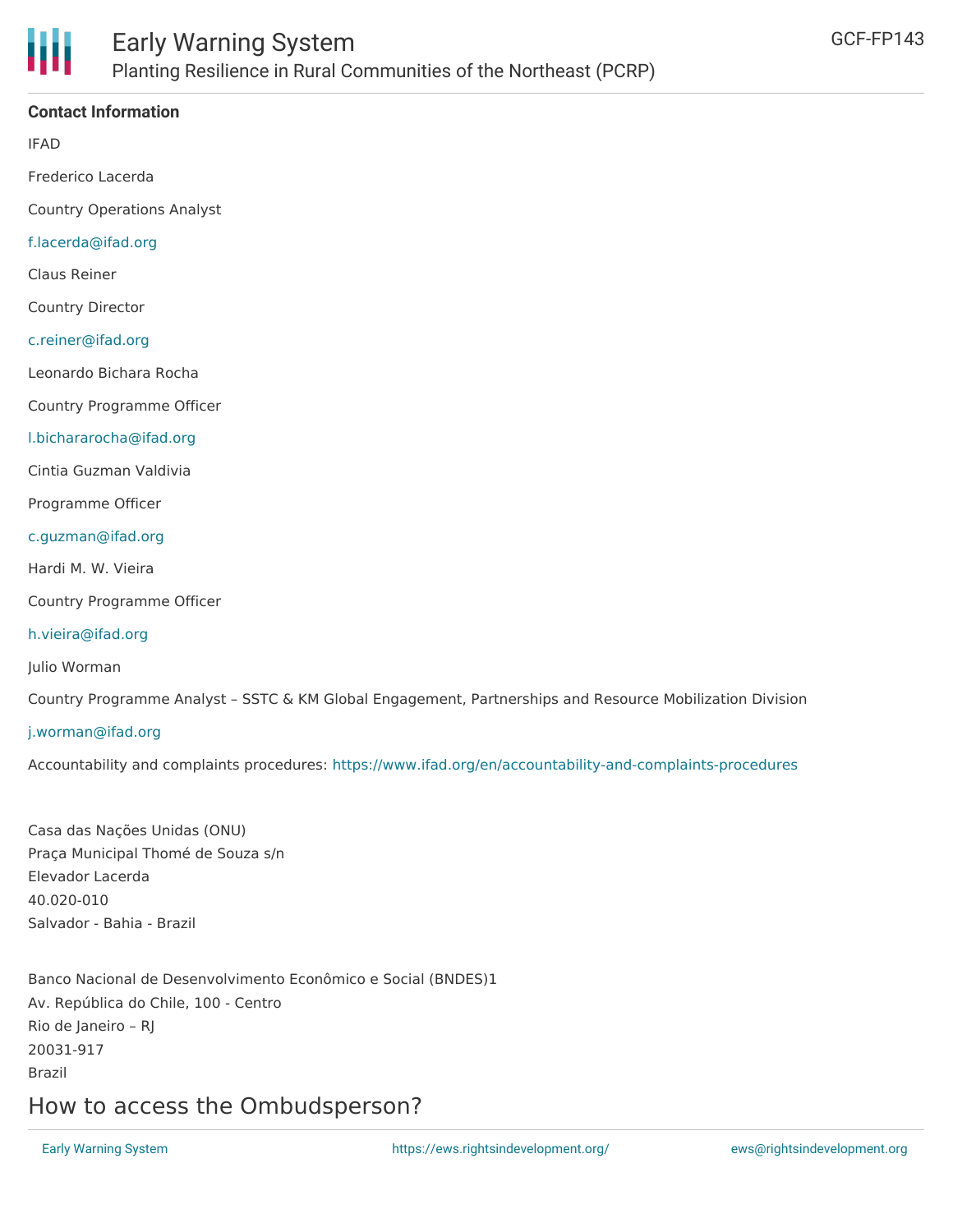

## **Contact Information**

IFAD

Frederico Lacerda

Country Operations Analyst

#### [f.lacerda@ifad.org](mailto:f.lacerda@ifad.org)

Claus Reiner

Country Director

#### [c.reiner@ifad.org](mailto:c.reiner@ifad.org)

Leonardo Bichara Rocha

Country Programme Officer

#### [l.bichararocha@ifad.org](mailto:l.bichararocha@ifad.org)

Cintia Guzman Valdivia

Programme Officer

#### [c.guzman@ifad.org](mailto:c.guzman@ifad.org)

Hardi M. W. Vieira

Country Programme Officer

#### [h.vieira@ifad.org](mailto:h.vieira@ifad.org)

Julio Worman

Country Programme Analyst – SSTC & KM Global Engagement, Partnerships and Resource Mobilization Division

#### [j.worman@ifad.org](mailto:j.worman@ifad.org)

Accountability and complaints procedures: <https://www.ifad.org/en/accountability-and-complaints-procedures>

Casa das Nações Unidas (ONU) Praça Municipal Thomé de Souza s/n Elevador Lacerda 40.020-010 Salvador - Bahia - Brazil

Banco Nacional de Desenvolvimento Econômico e Social (BNDES)1 Av. República do Chile, 100 - Centro Rio de Janeiro – RJ 20031-917 Brazil

# How to access the Ombudsperson?